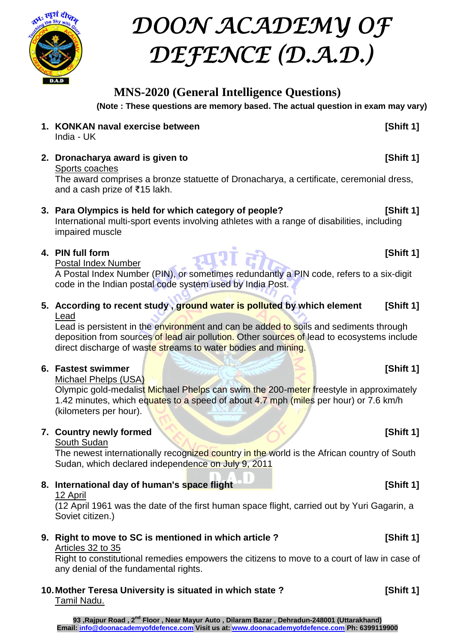

# *DOON ACADEMY OF DEFENCE (D.A.D.)*

# **MNS-2020 (General Intelligence Questions)**

**(Note : These questions are memory based. The actual question in exam may vary)**

- **1. KONKAN naval exercise between 1. KONKAN naval exercise between** India - UK
- **2. Dronacharya award is given to** *COND* **EXALLECTE: COND EXALLECTE: COND EXALLECTE: COND EXALLECTE: COND EXALLECTE: COND EXALLECTE: COND EXALLECTE: COND EXALLECTE: COND EXALLECTE: CO** Sports coaches

The award comprises a [bronze](https://en.wikipedia.org/wiki/Bronze) [statuette](https://en.wikipedia.org/wiki/Statuette) of Dronacharya, a certificate, ceremonial dress, and a cash prize of ₹15 lakh.

# **3. Para Olympics is held for which category of people? [Shift 1]**

International multi-sport events involving athletes with a range of disabilities, including impaired muscle

# **4. PIN full form [Shift 1]**

# Postal Index Number

A Postal Index Number (PIN), or sometimes [redundantly](https://en.wikipedia.org/wiki/RAS_syndrome) a PIN code, refers to a six-digit code in the [Indian](https://en.wikipedia.org/wiki/India) [postal code](https://en.wikipedia.org/wiki/Postal_code) system used by [India Post.](https://en.wikipedia.org/wiki/India_Post)

**5. According to recent study , ground water is polluted by which element [Shift 1]** Lead

Lead is persistent in the environment and can be added to soils and sediments through deposition from sources of lead air pollution. Other sources of lead to ecosystems include direct discharge of waste streams to water bodies and mining.

# **6. Fastest swimmer and <b>Fastest** swimmer **and <b>Fastest** swimmer **and Fastest** swimmer

Michael Phelps (USA)

Olympic gold-medalist Michael Phelps can swim the 200-meter freestyle in approximately 1.42 minutes, which equates to a speed of about 4.7 mph (miles per hour) or 7.6 km/h (kilometers per hour).

# **7. Country newly formed [Shift 1]**

# South Sudan

The newest internationally recognized country in the world is the African country of South Sudan, which declared independence on July 9, 2011

# **8.** International day of human's space flight **1 Shift 1 Shift 1 Shift 1 Shift 1 Shift 1 Shift 1 Shift 1 Shift 1 Shift 1 Shift 1 Shift 1 Shift 1 Shift 1 Shift 1 Shift 1 Shift 1 Shift 1**

12 April

(12 April 1961 was the date of the first human space flight, carried out by Yuri Gagarin, a Soviet citizen.)

# **9. Right to move to SC is mentioned in which article ? [Shift 1]**

# Articles 32 to 35

Right to constitutional remedies empowers the citizens to move to a court of law in case of any denial of the fundamental rights.

**10.Mother Teresa University is situated in which state ? [Shift 1]** Tamil Nadu.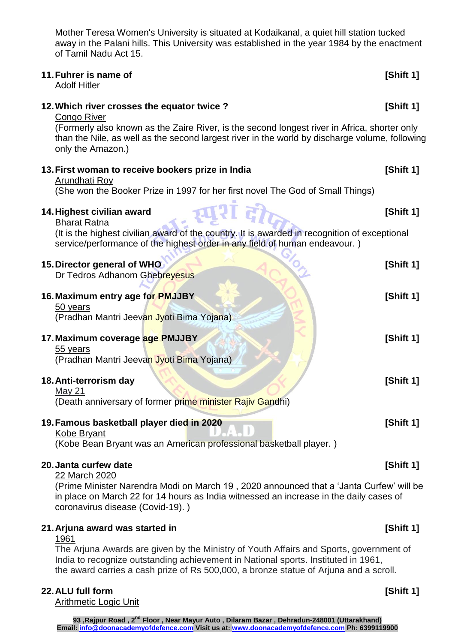Mother Teresa Women's University is situated at Kodaikanal, a quiet hill station tucked away in the Palani hills. This University was established in the year 1984 by the enactment of Tamil Nadu Act 15.

| 11. Fuhrer is name of<br><b>Adolf Hitler</b>                                                                                                                                                                                                                                     | [Shift 1] |
|----------------------------------------------------------------------------------------------------------------------------------------------------------------------------------------------------------------------------------------------------------------------------------|-----------|
| 12. Which river crosses the equator twice?<br>Congo River<br>(Formerly also known as the Zaire River, is the second longest river in Africa, shorter only<br>than the Nile, as well as the second largest river in the world by discharge volume, following<br>only the Amazon.) | [Shift 1] |
| 13. First woman to receive bookers prize in India<br><b>Arundhati Roy</b><br>(She won the Booker Prize in 1997 for her first novel The God of Small Things)                                                                                                                      | [Shift 1] |
| 14. Highest civilian award<br><b>Bharat Ratna</b><br>(It is the highest civilian award of the country. It is awarded in recognition of exceptional<br>service/performance of the highest order in any field of human endeavour.)                                                 | [Shift 1] |
| 15. Director general of WHO<br>Dr Tedros Adhanom Ghebreyesus                                                                                                                                                                                                                     | [Shift 1] |
| 16. Maximum entry age for PMJJBY<br>50 years<br>(Pradhan Mantri Jeevan Jyoti Bima Yojana)                                                                                                                                                                                        | [Shift 1] |
| 17. Maximum coverage age PMJJBY<br>55 years<br>(Pradhan Mantri Jeevan Jyoti Bima Yojana)                                                                                                                                                                                         | [Shift 1] |
| 18. Anti-terrorism day<br><u>May 21</u><br>(Death anniversary of former prime minister Rajiv Gandhi)                                                                                                                                                                             | [Shift 1] |
| 19. Famous basketball player died in 2020<br><b>Kobe Bryant</b><br>(Kobe Bean Bryant was an American professional basketball player.)                                                                                                                                            | [Shift 1] |
| 20. Janta curfew date<br>22 March 2020                                                                                                                                                                                                                                           | [Shift 1] |
| (Prime Minister Narendra Modi on March 19, 2020 announced that a 'Janta Curfew' will be<br>in place on March 22 for 14 hours as India witnessed an increase in the daily cases of<br>coronavirus disease (Covid-19).)                                                            |           |

### **21.Arjuna award was started in [Shift 1]**

# 1961

The Arjuna Awards are given by the Ministry of Youth Affairs and Sports, government of India to recognize outstanding achievement in National sports. Instituted in 1961, the award carries a cash prize of Rs 500,000, a bronze statue of Arjuna and a scroll.

# **22.ALU full form [Shift 1]**

Arithmetic Logic Unit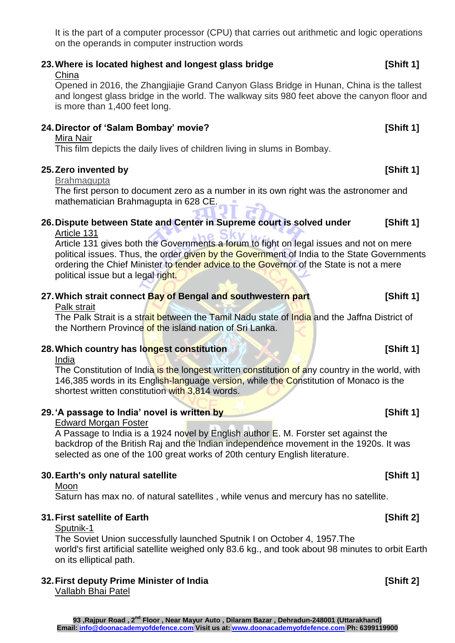It is the part of a computer processor (CPU) that carries out arithmetic and logic operations on the operands in computer instruction words

# **23.Where is located highest and longest glass bridge [Shift 1]**

# China

Opened in 2016, the Zhangjiajie Grand Canyon Glass Bridge in Hunan, China is the tallest and longest glass bridge in the world. The walkway sits 980 feet above the canyon floor and is more than 1,400 feet long.

# **24.Director of 'Salam Bombay' movie? [Shift 1]**

# Mira Nair

This film depicts the daily lives of children living in slums in Bombay.

# **25.Zero invented by [Shift 1]**

# Brahmagupta

The first person to document zero as a number in its own right was the astronomer and mathematician Brahmagupta in 628 CE.

#### **26.Dispute between State and Center in Supreme court is solved under [Shift 1]** Article 131

Article 131 gives both the Governments a forum to fight on legal issues and not on mere political issues. Thus, the order given by the Government of India to the State Governments ordering the Chief Minister to tender advice to the Governor of the State is not a mere political issue but a legal right.

# **27.Which strait connect Bay of Bengal and southwestern part [Shift 1]**

## Palk strait

The Palk Strait is a strait between the Tamil Nadu state of India and the Jaffna District of the Northern Province of the island nation of Sri Lanka.

# **28.Which country has longest constitution [Shift 1]**

#### India

The Constitution of India is the longest written constitution of any country in the world, with 146,385 words in its English-language version, while the Constitution of Monaco is the shortest written constitution with 3,814 words.

# **29.'A passage to India' novel is written by [Shift 1]**

## Edward Morgan Foster

A Passage to India is a 1924 novel by English author [E. M. Forster](https://en.wikipedia.org/wiki/E._M._Forster) set against the backdrop of the [British Raj](https://en.wikipedia.org/wiki/British_Raj) and the [Indian independence movement](https://en.wikipedia.org/wiki/Indian_independence_movement) in the 1920s. It was selected as one of the 100 great works of 20th century English literature.

#### **30.Earth's only natural satellite [Shift 1]** Moon

# Saturn has max no. of natural satellites , while venus and mercury has no satellite.

# **31.First satellite of Earth [Shift 2]**

# Sputnik-1

The Soviet Union successfully launched Sputnik I on October 4, 1957.The world's first artificial satellite weighed only 83.6 kg., and took about 98 minutes to orbit Earth on its elliptical path.

# **32.First deputy Prime Minister of India [Shift 2]**

Vallabh Bhai Patel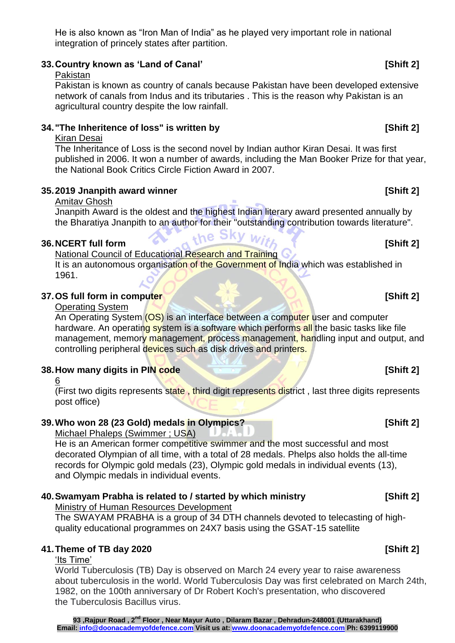He is also known as "Iron Man of India" as he played very important role in national integration of princely states after partition.

# **33.Country known as 'Land of Canal' [Shift 2]**

# Pakistan

Pakistan is known as country of canals because Pakistan have been developed extensive network of canals from Indus and its tributaries . This is the reason why Pakistan is an agricultural country despite the low rainfall.

# **34."The Inheritence of loss" is written by [Shift 2]**

# Kiran Desai

The Inheritance of Loss is the second novel by Indian author [Kiran Desai.](https://en.wikipedia.org/wiki/Kiran_Desai) It was first published in [2006.](https://en.wikipedia.org/wiki/2006_in_literature) It won a number of awards, including the [Man Booker Prize](https://en.wikipedia.org/wiki/Man_Booker_Prize) for that year, the [National Book Critics Circle](https://en.wikipedia.org/wiki/National_Book_Critics_Circle) Fiction Award in 2007.

# **35.2019 Jnanpith award winner [Shift 2]**

# Amitav Ghosh

Jnanpith Award is the oldest and the highest Indian literary award presented annually by the [Bharatiya Jnanpith](https://en.wikipedia.org/wiki/Bharatiya_Jnanpith) to an author for their "outstanding contribution towards literature".<br> **The Sky** With With the Canadian Contribution towards literature<sup>"</sup>.

# **36.NCERT full form 1999 1999 1999 1999 1999 1999 1999 1999 1999 1999 1999 1999 1999 1999**

National Council of Educational Research and Training It is an [autonomous](https://en.wikipedia.org/wiki/Autonomous) organisation of the [Government of India](https://en.wikipedia.org/wiki/Government_of_India) which was established in 1961.

# **37.0S full form in computer and service of the service of the service of the service of the service of the service of the service of the service of the service of the service of the service of the service of the service o**

## Operating System

An Operating System (OS) is an interface between a computer user and computer hardware. An operating system is a software which performs all the basic tasks like file management, memory management, process management, handling input and output, and controlling peripheral devices such as disk drives and printers.

# **38. How many digits in PIN code [Shift 2]**

## 6

(First two digits represents state, third digit represents district, last three digits represents post office)

# **39.Who won 28 (23 Gold) medals in Olympics? [Shift 2]**

Michael Phaleps (Swimmer ; USA)

He is an American former competitive swimmer and the most successful and [most](https://en.wikipedia.org/wiki/List_of_multiple_Olympic_medalists)  [decorated Olympian of all time,](https://en.wikipedia.org/wiki/List_of_multiple_Olympic_medalists) with a total of 28 medals. Phelps also holds the all-time records for [Olympic gold medals](https://en.wikipedia.org/wiki/List_of_multiple_Olympic_gold_medalists#List_of_most_Olympic_gold_medals_over_career) (23), [Olympic gold medals in individual events](https://en.wikipedia.org/wiki/List_of_multiple_Olympic_gold_medalists#List_of_most_career_gold_medals_in_individual_events) (13), and [Olympic medals in individual events.](https://en.wikipedia.org/wiki/List_of_multiple_Olympic_medalists#List_of_most_career_medals_in_individual_events)

# **40.Swamyam Prabha is related to / started by which ministry [Shift 2]**

Ministry of Human Resources Development

The SWAYAM PRABHA is a group of 34 DTH channels devoted to telecasting of highquality educational programmes on 24X7 basis using the GSAT-15 satellite

# **41.Theme of TB day 2020 [Shift 2]**

# 'Its Time'

World Tuberculosis (TB) Day is observed on March 24 every year to raise awareness about tuberculosis in the world. World Tuberculosis Day was first celebrated on March 24th, 1982, on the 100th anniversary of Dr Robert Koch's presentation, who discovered the Tuberculosis Bacillus virus.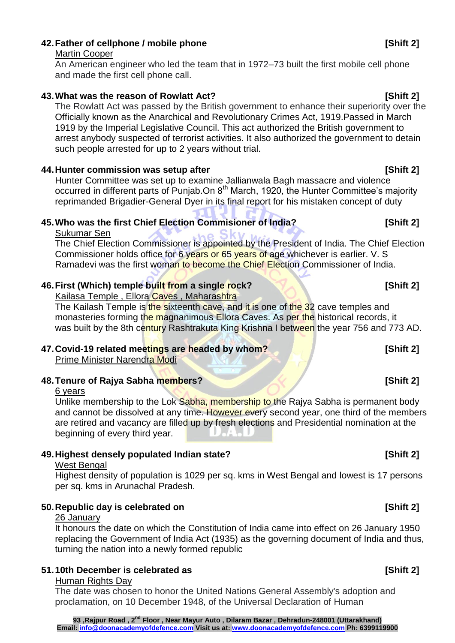# **42.Father of cellphone / mobile phone [Shift 2]**

### Martin Cooper

An American engineer who led the team that in 1972–73 built the first mobile cell phone and made the first cell phone call.

# **43.What was the reason of Rowlatt Act? [Shift 2]**

The Rowlatt Act was passed by the British government to enhance their superiority over the Officially known as the Anarchical and Revolutionary Crimes Act, 1919.Passed in March 1919 by the Imperial Legislative Council. This act authorized the British government to arrest anybody suspected of terrorist activities. It also authorized the government to detain such people arrested for up to 2 years without trial.

# **44.Hunter commission was setup after [Shift 2]**

Hunter Committee was set up to examine Jallianwala Bagh massacre and violence occurred in different parts of Punjab.On 8<sup>th</sup> March, 1920, the Hunter Committee's majority reprimanded Brigadier-General Dyer in its final report for his mistaken concept of duty

# **45.Who was the first Chief Election Commisioner of India? [Shift 2]**

## Sukumar Sen

The Chief Election Commissioner is appointed by the President of India. The Chief Election Commissioner holds office for 6 years or 65 years of age whichever is earlier. V. S Ramadevi was the first woman to become the Chief Election Commissioner of India.

# **46.First (Which) temple built from a single rock? [Shift 2]**

Kailasa Temple, Ellora Caves, Maharashtra

The Kailash Temple is the sixteenth cave, and it is one of the 32 cave temples and monasteries forming the magnanimous Ellora Caves. As per the historical records, it was built by the 8th century Rashtrakuta King Krishna I between the year 756 and 773 AD.

# **47.Covid-19 related meetings are headed by whom? [Shift 2]**

Prime Minister Narendra Modi

# **48. Tenure of Raiva Sabha members? Contained a late of Shift 21**

#### 6 years

Unlike membership to the Lok Sabha, membership to the Rajya Sabha is permanent body and cannot be dissolved at any time. However every second year, one third of the members are retired and vacancy are filled up by fresh elections and Presidential nomination at the beginning of every third year.

# **49.Highest densely populated Indian state? [Shift 2]**

#### West Bengal

Highest density of population is 1029 per sq. kms in West Bengal and lowest is 17 persons per sq. kms in Arunachal Pradesh.

## **50. Republic day is celebrated on <b>***Shift 2]* [Shift 2]

## 26 January

It honours the date on which the [Constitution of India](https://en.wikipedia.org/wiki/Indian_constitution) came into effect on 26 January 1950 replacing the [Government of India Act \(1935\)](https://en.wikipedia.org/wiki/Government_of_India_Act_1935) as the governing document of India and thus, turning the nation into a newly formed [republic](https://en.wikipedia.org/wiki/Republic)

# **51.10th December is celebrated as [Shift 2]**

## Human Rights Day

The date was chosen to honor the United Nations General Assembly's adoption and proclamation, on 10 December 1948, of the Universal Declaration of Human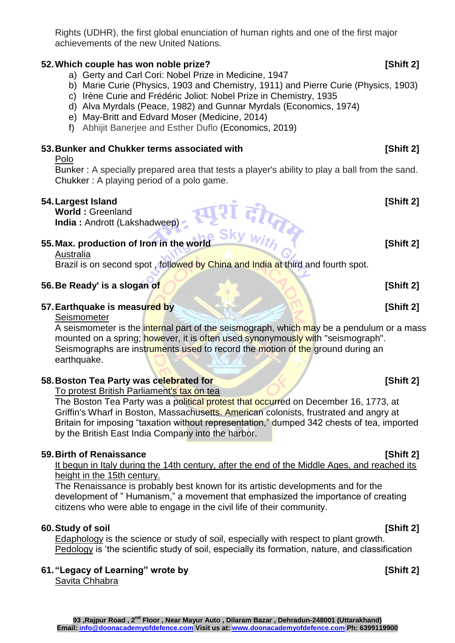Rights (UDHR), the first global enunciation of human rights and one of the first major achievements of the new United Nations.

# **52.Which couple has won noble prize? [Shift 2]**

- a) Gerty and Carl Cori: Nobel Prize in Medicine, 1947
- b) Marie Curie (Physics, 1903 and Chemistry, 1911) and Pierre Curie (Physics, 1903)
- c) Irène Curie and Frédéric Joliot: Nobel Prize in Chemistry, 1935
- d) Alva Myrdals (Peace, 1982) and Gunnar Myrdals (Economics, 1974)
- e) May-Britt and Edvard Moser (Medicine, 2014)
- f) Abhijit Banerjee and Esther Duflo (Economics, 2019)

# **53. Bunker and Chukker terms associated with [Shift 2]** [Shift 2]

#### Polo

Bunker : A specially prepared area that tests a player's ability to play a ball from the sand. Chukker : A playing period of a polo game.

**54. Largest Island [Shift 2]**<br> **World**: Greenland India : Andrott (Lakshadweep)<br>
The Sky With The World Island (Shift 2) **World :** Greenland **India :** Andrott (Lakshadweep)

# **55. Max. production of Iron in the world [Shift 2] [Shift 2]**

Australia

Brazil is on second spot, followed by China and India at third and fourth spot.

# **56. Be Ready' is a slogan of <b>COV COV COV COV COV COV COV COV COV COV COV COV COV COV COV**

# **57. Earthquake is measured by <b>EXAMPLE 20 CONSUMING THE ISLANDIC CONSUMING THE ISLAND CONSUMING THE ISLAND CONSUMING THE ISLAND CONSUMING THE ISLAND CONSUMING THE ISLAND CONSUMING THE ISLAND CONSUMING THE ISLAND CONSUMI**

Seismometer

A seismometer is the internal part of the seismograph, which may be a pendulum or a mass mounted on a spring; however, it is often used synonymously with "seismograph". Seismographs are instruments used to record the motion of the ground during an earthquake.

# **58. Boston Tea Party was celebrated for <b>Example 20** (Shift 2)

# To protest British Parliament's tax on tea

The Boston Tea Party was a political protest that occurred on December 16, 1773, at Griffin's Wharf in Boston, Massachusetts. American colonists, frustrated and angry at Britain for imposing "taxation without representation," dumped 342 chests of tea, imported by the British East India Company into the harbor.

# **59.Birth of Renaissance [Shift 2]**

# It begun in Italy during the 14th century, after the end of the Middle Ages, and reached its height in the 15th century.

The Renaissance is probably best known for its artistic developments and for the development of " Humanism," a movement that emphasized the importance of creating citizens who were able to engage in the civil life of their community.

# **60.Study of soil [Shift 2]**

Edaphology is the science or study of soil, especially with respect to plant growth. Pedology is 'the scientific study of soil, especially its formation, nature, and classification

### **61."Legacy of Learning" wrote by [Shift 2]** Savita Chhabra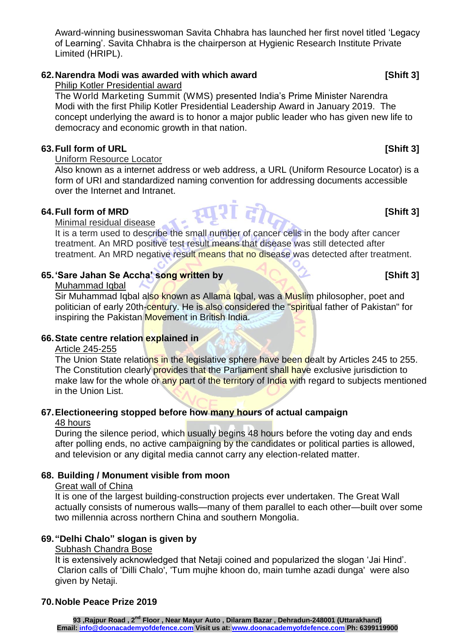**93 ,Rajpur Road , 2nd Floor , Near Mayur Auto , Dilaram Bazar , Dehradun-248001 (Uttarakhand) Email: info@doonacademyofdefence.com Visit us at: www.doonacademyofdefence.com Ph: 6399119900**

Award-winning businesswoman Savita Chhabra has launched her first novel titled 'Legacy of Learning'. Savita Chhabra is the chairperson at Hygienic Research Institute Private Limited (HRIPL).

# **62.Narendra Modi was awarded with which award [Shift 3]**

Philip Kotler Presidential award

The [World Marketing Summit](https://www.worldmarketingsummitgroup.org/) (WMS) presented India's Prime Minister Narendra Modi with the first Philip Kotler Presidential Leadership Award in January 2019. The concept underlying the award is to honor a major public leader who has given new life to democracy and economic growth in that nation.

# **63.Full form of URL [Shift 3]**

## Uniform Resource Locator

Also known as a internet address or web address, a URL (Uniform Resource Locator) is a form of URI and standardized naming convention for addressing documents accessible over the Internet and Intranet.

# **64. Full form of MRD [Shift 3]**<br>Minimal residual disease

#### Minimal residual disease

It is a term used to describe the small number of cancer cells in the body after cancer treatment. An MRD positive test result means that disease was still detected after treatment. An MRD negative result means that no disease was detected after treatment.

# **65.'Sare Jahan Se Accha' song written by [Shift 3]**

### Muhammad Iqbal

[Sir Muhammad Iqbal](https://en.wikipedia.org/wiki/Muhammad_Iqbal) also known as Allama Iqbal, was a Muslim philosopher, poet and politician of early 20th-century. He is also considered the "spiritual father of Pakistan" for inspiring the [Pakistan Movement](https://en.wikipedia.org/wiki/Pakistan_Movement) in British India.

## **66.State centre relation explained in**

## Article 245-255

The Union State relations in the legislative sphere have been dealt by Articles 245 to 255. The Constitution clearly provides that the Parliament shall have exclusive jurisdiction to make law for the whole or any part of the territory of India with regard to subjects mentioned in the Union List.

# **67.Electioneering stopped before how many hours of actual campaign**

## 48 hours

During the silence period, which usually begins 48 hours before the voting day and ends after polling ends, no active campaigning by the candidates or political parties is allowed, and television or any digital media cannot carry any election-related matter.

## **68. Building / Monument visible from moon**

## Great wall of China

It is one of the largest building-construction projects ever undertaken. The Great Wall actually consists of numerous walls—many of them parallel to each other—built over some two millennia across northern China and southern [Mongolia.](https://www.britannica.com/place/Mongolia)

# **69."Delhi Chalo" slogan is given by**

## Subhash Chandra Bose

It is extensively acknowledged that Netaji coined and popularized the slogan 'Jai Hind'. Clarion calls of 'Dilli Chalo', 'Tum mujhe khoon do, main tumhe azadi dunga' were also given by Netaji.

# **70.Noble Peace Prize 2019**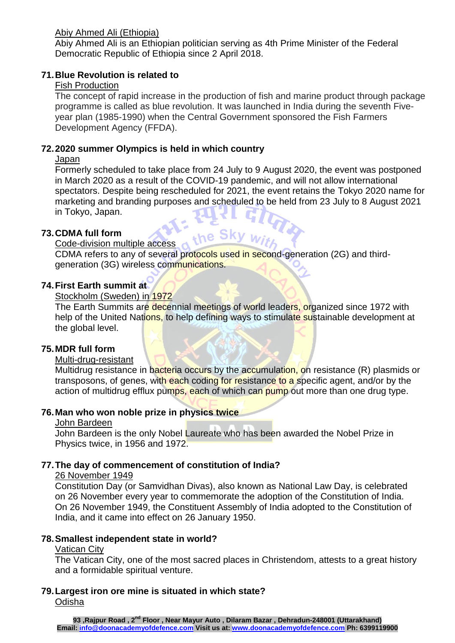## Abiy Ahmed Ali (Ethiopia)

Abiy Ahmed Ali is an Ethiopian politician serving as 4th [Prime Minister](https://en.wikipedia.org/wiki/Prime_Minister_of_Ethiopia) of the [Federal](https://en.wikipedia.org/wiki/Federal_Democratic_Republic_of_Ethiopia)  [Democratic Republic of Ethiopia](https://en.wikipedia.org/wiki/Federal_Democratic_Republic_of_Ethiopia) since 2 April 2018.

# **71.Blue Revolution is related to**

# Fish Production

The concept of rapid increase in the production of fish and marine product through package programme is called as blue revolution. It was launched in India during the seventh Fiveyear plan (1985-1990) when the Central Government sponsored the Fish Farmers Development Agency (FFDA).

# **72.2020 summer Olympics is held in which country**

# **Japan**

Formerly scheduled to take place from 24 July to 9 August 2020, the event was postponed in March 2020 as a result of the [COVID-19 pandemic,](https://en.wikipedia.org/wiki/COVID-19_pandemic) and will not allow international spectators. Despite being rescheduled for 2021, the event retains the Tokyo 2020 name for marketing and branding purposes and scheduled to be held from 23 July to 8 August 2021<br>in Tokyo, Japan. in [Tokyo,](https://en.wikipedia.org/wiki/Tokyo) Japan. the Sky with

# **73.CDMA full form**

### Code-division multiple access

CDMA refers to any of several protocols used in second-generation (2G) and thirdgeneration (3G) wireless communications.

## **74.First Earth summit at**

# Stockholm (Sweden) in 1972

The Earth Summits are [decennial](https://en.wikipedia.org/wiki/Decennial) meetings of world leaders, organized since 1972 with help of the [United Nations,](https://en.wikipedia.org/wiki/United_Nations) to help defining ways to stimulate sustainable development at the global level.

# **75.MDR full form**

## Multi-drug-resistant

Multidrug resistance in bacteria occurs by the accumulation, on resistance (R) plasmids or transposons, of genes, with each coding for resistance to a specific agent, and/or by the action of multidrug efflux pumps, each of which can pump out more than one drug type.

## **76.Man who won noble prize in physics twice**

## John Bardeen

John Bardeen is the only Nobel Laureate who has been awarded the Nobel Prize in Physics twice, in 1956 and 1972.

# **77.The day of commencement of constitution of India?**

## 26 November 1949

Constitution Day (or Samvidhan Divas), also known as National Law Day, is celebrated on 26 November every year to commemorate the adoption of the Constitution of India. On 26 November 1949, the Constituent Assembly of India adopted to the Constitution of India, and it came into effect on 26 January 1950.

## **78.Smallest independent state in world?**

## Vatican City

The Vatican City, one of the most sacred places in Christendom, attests to a great history and a formidable spiritual venture.

## **79.Largest iron ore mine is situated in which state?** Odisha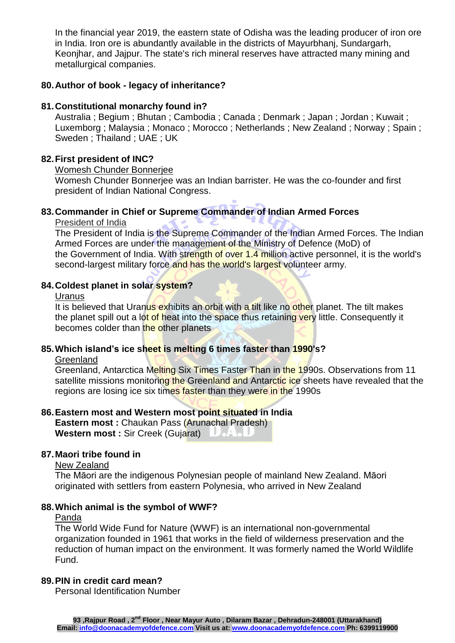In the financial year 2019, the eastern state of Odisha was the leading producer of iron ore in India. Iron ore is abundantly available in the districts of Mayurbhanj, Sundargarh, Keonjhar, and Jajpur. The state's rich mineral reserves have attracted many mining and metallurgical companies.

### **80.Author of book - legacy of inheritance?**

#### **81.Constitutional monarchy found in?**

Australia ; Begium ; Bhutan ; Cambodia ; Canada ; Denmark ; Japan ; Jordan ; Kuwait ; Luxemborg ; Malaysia ; Monaco ; Morocco ; Netherlands ; New Zealand ; Norway ; Spain ; Sweden ; Thailand ; UAE ; UK

### **82.First president of INC?**

Womesh Chunder Bonnerjee

Womesh Chunder Bonnerjee was an Indian barrister. He was the co-founder and first president of [Indian National Congress.](https://en.wikipedia.org/wiki/Indian_National_Congress)

### **83.Commander in Chief or Supreme Commander of Indian Armed Forces**

President of India

The [President of India](https://en.wikipedia.org/wiki/President_of_India) is the [Supreme Commander](https://en.wikipedia.org/wiki/Commander-in-Chief) of the Indian Armed Forces. The Indian Armed Forces are under the management of the [Ministry of Defence \(MoD\)](https://en.wikipedia.org/wiki/Ministry_of_Defence_(India)) of the [Government of India.](https://en.wikipedia.org/wiki/Government_of_India) With strength of over 1.4 million active personnel, it is the world's [second-largest military force](https://en.wikipedia.org/wiki/List_of_countries_by_number_of_military_and_paramilitary_personnel) and has the world's largest [volunteer](https://en.wikipedia.org/wiki/Volunteer_military) army.

#### **84.Coldest planet in solar system?**

#### Uranus

It is believed that Uranus exhibits an orbit with a tilt like no other planet. The tilt makes the planet spill out a lot of heat into the space thus retaining very little. Consequently it becomes colder than the other planets

### **85.Which island's ice sheet is melting 6 times faster than 1990's?**

#### **Greenland**

Greenland, Antarctica Melting Six Times Faster Than in the 1990s. Observations from 11 satellite missions monitoring the Greenland and Antarctic ice sheets have revealed that the regions are losing ice six times faster than they were in the 1990s

#### **86.Eastern most and Western most point situated in India**

**Eastern most : Chaukan Pass (Arunachal Pradesh) Western most : Sir Creek (Gujarat)** United U

#### **87.Maori tribe found in**

New Zealand

The Māori are the [indigenous](https://en.wikipedia.org/wiki/Indigenous_peoples_of_Oceania) [Polynesian people](https://en.wikipedia.org/wiki/Polynesians) of mainland [New Zealand.](https://en.wikipedia.org/wiki/New_Zealand) Māori originated with settlers from eastern [Polynesia,](https://en.wikipedia.org/wiki/Polynesia) who arrived in New Zealand

#### **88.Which animal is the symbol of WWF?**

#### Panda

The World Wide Fund for Nature (WWF) is an [international non-governmental](https://en.wikipedia.org/wiki/International_non-governmental_organization)  [organization](https://en.wikipedia.org/wiki/International_non-governmental_organization) founded in 1961 that works in the field of wilderness preservation and the reduction of [human impact on the environment.](https://en.wikipedia.org/wiki/Human_impact_on_the_environment) It was formerly named the World Wildlife Fund.

# **89.PIN in credit card mean?**

Personal Identification Number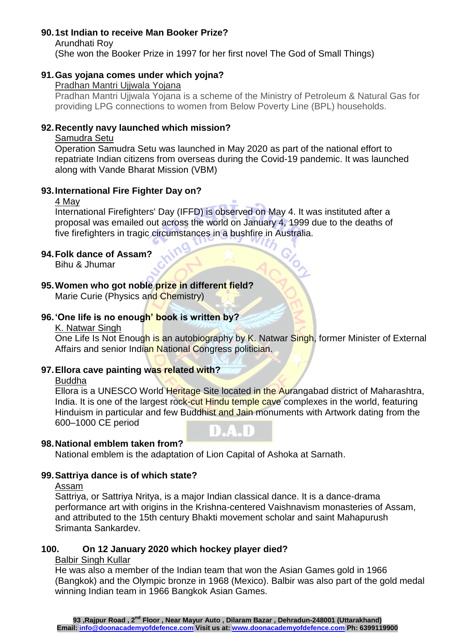# **90.1st Indian to receive Man Booker Prize?**

Arundhati Roy (She won the Booker Prize in 1997 for her first novel The God of Small Things)

# **91.Gas yojana comes under which yojna?**

### Pradhan Mantri Ujjwala Yojana

Pradhan Mantri Ujjwala Yojana is a scheme of the Ministry of Petroleum & Natural Gas for providing LPG connections to women from Below Poverty Line (BPL) households.

## **92.Recently navy launched which mission?**

### Samudra Setu

Operation Samudra Setu was launched in May 2020 as part of the national effort to repatriate Indian citizens from overseas during the [Covid-19](https://www.drishtiias.com/daily-updates/daily-news-editorials/comprehensive-action-plan-for-covid-19) pandemic. It was launched along with [Vande Bharat Mission](https://www.drishtiias.com/daily-updates/daily-news-analysis/vande-bharat-mission-one-of-top-civilian-evacuations) (VBM)

## **93.International Fire Fighter Day on?**

### 4 May

International Firefighters' Day (IFFD) is [observed](https://en.wikipedia.org/wiki/List_of_minor_secular_observances#May) on [May 4.](https://en.wikipedia.org/wiki/May_4) It was instituted after a proposal was [emailed](https://en.wikipedia.org/wiki/Email) out across the world on January 4, 1999 due to the deaths of five [firefighters](https://en.wikipedia.org/wiki/Firefighter) in tragic circumstances in a [bushfire in Australia.](https://en.wikipedia.org/wiki/Bushfires_in_Australia)

# **94.Folk dance of Assam?**

Bihu & Jhumar

# **95.Women who got noble prize in different field?**

Marie Curie (Physics and Chemistry)

# **96.'One life is no enough' book is written by?**

#### K. Natwar Singh

One Life Is Not Enough is an [autobiography](https://en.wikipedia.org/wiki/Autobiography) by [K. Natwar Singh,](https://en.wikipedia.org/wiki/K._Natwar_Singh) former Minister of External [Affairs](https://en.wikipedia.org/wiki/Minister_of_External_Affairs_(India)) and senior [Indian National Congress](https://en.wikipedia.org/wiki/Indian_National_Congress) politician.

## **97.Ellora cave painting was related with?**

## Buddha

Ellora is a UNESCO World Heritage Site located in the Aurangabad district of Maharashtra, India. It is one of the largest rock-cut Hindu temple cave complexes in the world, featuring Hinduism in particular and few Buddhist and Jain monuments with Artwork dating from the 600–1000 CE period

# **98.National emblem taken from?**

National emblem is the adaptation of Lion Capital of Ashoka at Sarnath.

## **99.Sattriya dance is of which state?**

#### Assam

Sattriya, or Sattriya Nritya, is a major Indian classical dance. It is a dance-drama performance art with origins in the Krishna-centered Vaishnavism monasteries of Assam, and attributed to the 15th century Bhakti movement scholar and saint Mahapurush Srimanta Sankardev.

# **100. On 12 January 2020 which hockey player died?**

#### Balbir Singh Kullar

He was also a member of the Indian team that won the Asian Games gold in 1966 (Bangkok) and the Olympic bronze in 1968 (Mexico). Balbir was also part of the gold medal winning Indian team in 1966 Bangkok Asian Games.